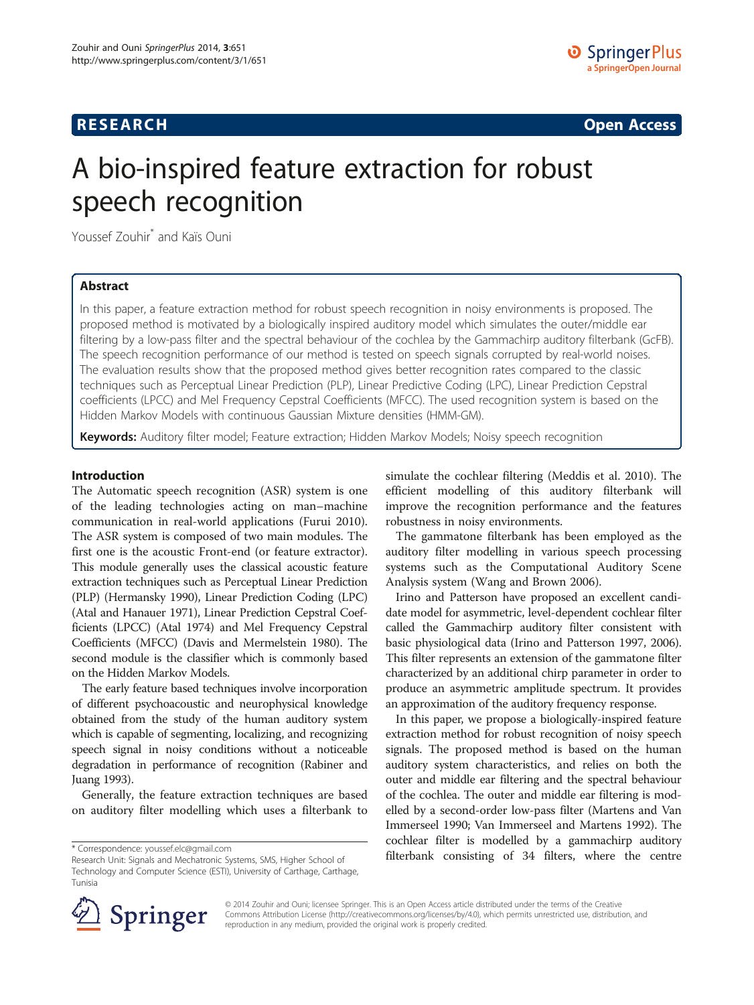# **RESEARCH RESEARCH CONSUMING ACCESS**

# A bio-inspired feature extraction for robust speech recognition

Youssef Zouhir<sup>\*</sup> and Kaïs Ouni

# Abstract

In this paper, a feature extraction method for robust speech recognition in noisy environments is proposed. The proposed method is motivated by a biologically inspired auditory model which simulates the outer/middle ear filtering by a low-pass filter and the spectral behaviour of the cochlea by the Gammachirp auditory filterbank (GcFB). The speech recognition performance of our method is tested on speech signals corrupted by real-world noises. The evaluation results show that the proposed method gives better recognition rates compared to the classic techniques such as Perceptual Linear Prediction (PLP), Linear Predictive Coding (LPC), Linear Prediction Cepstral coefficients (LPCC) and Mel Frequency Cepstral Coefficients (MFCC). The used recognition system is based on the Hidden Markov Models with continuous Gaussian Mixture densities (HMM-GM).

Keywords: Auditory filter model; Feature extraction; Hidden Markov Models; Noisy speech recognition

# Introduction

The Automatic speech recognition (ASR) system is one of the leading technologies acting on man–machine communication in real-world applications (Furui [2010](#page-7-0)). The ASR system is composed of two main modules. The first one is the acoustic Front-end (or feature extractor). This module generally uses the classical acoustic feature extraction techniques such as Perceptual Linear Prediction (PLP) (Hermansky [1990](#page-7-0)), Linear Prediction Coding (LPC) (Atal and Hanauer [1971](#page-7-0)), Linear Prediction Cepstral Coefficients (LPCC) (Atal [1974](#page-7-0)) and Mel Frequency Cepstral Coefficients (MFCC) (Davis and Mermelstein [1980](#page-7-0)). The second module is the classifier which is commonly based on the Hidden Markov Models.

The early feature based techniques involve incorporation of different psychoacoustic and neurophysical knowledge obtained from the study of the human auditory system which is capable of segmenting, localizing, and recognizing speech signal in noisy conditions without a noticeable degradation in performance of recognition (Rabiner and Juang [1993\)](#page-7-0).

Generally, the feature extraction techniques are based on auditory filter modelling which uses a filterbank to simulate the cochlear filtering (Meddis et al. [2010](#page-7-0)). The efficient modelling of this auditory filterbank will improve the recognition performance and the features robustness in noisy environments.

The gammatone filterbank has been employed as the auditory filter modelling in various speech processing systems such as the Computational Auditory Scene Analysis system (Wang and Brown [2006](#page-7-0)).

Irino and Patterson have proposed an excellent candidate model for asymmetric, level-dependent cochlear filter called the Gammachirp auditory filter consistent with basic physiological data (Irino and Patterson [1997, 2006](#page-7-0)). This filter represents an extension of the gammatone filter characterized by an additional chirp parameter in order to produce an asymmetric amplitude spectrum. It provides an approximation of the auditory frequency response.

In this paper, we propose a biologically-inspired feature extraction method for robust recognition of noisy speech signals. The proposed method is based on the human auditory system characteristics, and relies on both the outer and middle ear filtering and the spectral behaviour of the cochlea. The outer and middle ear filtering is modelled by a second-order low-pass filter (Martens and Van Immerseel [1990;](#page-7-0) Van Immerseel and Martens [1992\)](#page-7-0). The cochlear filter is modelled by a gammachirp auditory \* Correspondence: [youssef.elc@gmail.com](mailto:youssef.elc@gmail.com) **consisting of 34 filters, where the centre** \* Correspondence: youssef.elc@gmail.com<br>Research Unit: Signals and Mechatronic Systems. SMS. Higher School of **filterbank consisting of 3** 



© 2014 Zouhir and Ouni; licensee Springer. This is an Open Access article distributed under the terms of the Creative Commons Attribution License (<http://creativecommons.org/licenses/by/4.0>), which permits unrestricted use, distribution, and reproduction in any medium, provided the original work is properly credited.

Research Unit: Signals and Mechatronic Systems, SMS, Higher School of Technology and Computer Science (ESTI), University of Carthage, Carthage, Tunisia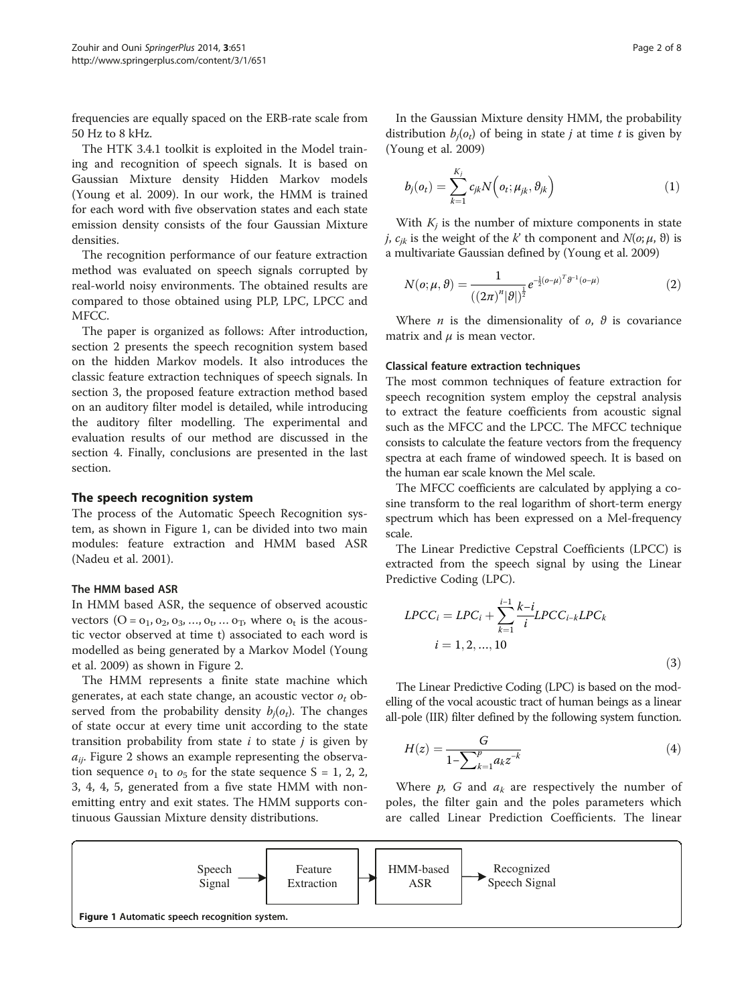frequencies are equally spaced on the ERB-rate scale from 50 Hz to 8 kHz.

The HTK 3.4.1 toolkit is exploited in the Model training and recognition of speech signals. It is based on Gaussian Mixture density Hidden Markov models (Young et al. [2009\)](#page-7-0). In our work, the HMM is trained for each word with five observation states and each state emission density consists of the four Gaussian Mixture densities.

The recognition performance of our feature extraction method was evaluated on speech signals corrupted by real-world noisy environments. The obtained results are compared to those obtained using PLP, LPC, LPCC and MFCC.

The paper is organized as follows: After introduction, section 2 presents the speech recognition system based on the hidden Markov models. It also introduces the classic feature extraction techniques of speech signals. In section [3,](#page-3-0) the proposed feature extraction method based on an auditory filter model is detailed, while introducing the auditory filter modelling. The experimental and evaluation results of our method are discussed in the section [4.](#page-5-0) Finally, conclusions are presented in the last section.

## The speech recognition system

The process of the Automatic Speech Recognition system, as shown in Figure 1, can be divided into two main modules: feature extraction and HMM based ASR (Nadeu et al. [2001\)](#page-7-0).

## The HMM based ASR

In HMM based ASR, the sequence of observed acoustic vectors  $(O = 0<sub>1</sub>, 0<sub>2</sub>, 0<sub>3</sub>, ..., 0<sub>t</sub>, ... 0<sub>T</sub>$ , where  $o<sub>t</sub>$  is the acoustic vector observed at time t) associated to each word is modelled as being generated by a Markov Model (Young et al. [2009\)](#page-7-0) as shown in Figure [2](#page-2-0).

The HMM represents a finite state machine which generates, at each state change, an acoustic vector  $o_t$  observed from the probability density  $b_i(o_t)$ . The changes of state occur at every time unit according to the state transition probability from state  $i$  to state  $j$  is given by  $a_{ii}$ . Figure [2](#page-2-0) shows an example representing the observation sequence  $o_1$  to  $o_5$  for the state sequence S = 1, 2, 2, 3, 4, 4, 5, generated from a five state HMM with nonemitting entry and exit states. The HMM supports continuous Gaussian Mixture density distributions.

In the Gaussian Mixture density HMM, the probability distribution  $b_i(o_t)$  of being in state *j* at time *t* is given by (Young et al. [2009\)](#page-7-0)

$$
b_j(o_t) = \sum_{k=1}^{K_j} c_{jk} N\left(o_t; \mu_{jk}, \theta_{jk}\right)
$$
 (1)

With  $K_i$  is the number of mixture components in state *j*,  $c_{ik}$  is the weight of the k' th component and  $N(o; \mu, \vartheta)$  is a multivariate Gaussian defined by (Young et al. [2009](#page-7-0))

$$
N(o; \mu, \vartheta) = \frac{1}{((2\pi)^n |\vartheta|)^{\frac{1}{2}}} e^{-\frac{1}{2}(o-\mu)^T \vartheta^{-1}(o-\mu)}
$$
(2)

Where *n* is the dimensionality of  $o$ ,  $\theta$  is covariance matrix and  $\mu$  is mean vector.

#### Classical feature extraction techniques

The most common techniques of feature extraction for speech recognition system employ the cepstral analysis to extract the feature coefficients from acoustic signal such as the MFCC and the LPCC. The MFCC technique consists to calculate the feature vectors from the frequency spectra at each frame of windowed speech. It is based on the human ear scale known the Mel scale.

The MFCC coefficients are calculated by applying a cosine transform to the real logarithm of short-term energy spectrum which has been expressed on a Mel-frequency scale.

The Linear Predictive Cepstral Coefficients (LPCC) is extracted from the speech signal by using the Linear Predictive Coding (LPC).

$$
LPCC_i = LPC_i + \sum_{k=1}^{i-1} \frac{k-i}{i} LPCC_{i-k} LPC_k
$$
  
 $i = 1, 2, ..., 10$  (3)

The Linear Predictive Coding (LPC) is based on the modelling of the vocal acoustic tract of human beings as a linear all-pole (IIR) filter defined by the following system function.

$$
H(z) = \frac{G}{1 - \sum_{k=1}^{p} a_k z^{-k}}
$$
(4)

Where  $p$ ,  $G$  and  $a_k$  are respectively the number of poles, the filter gain and the poles parameters which are called Linear Prediction Coefficients. The linear

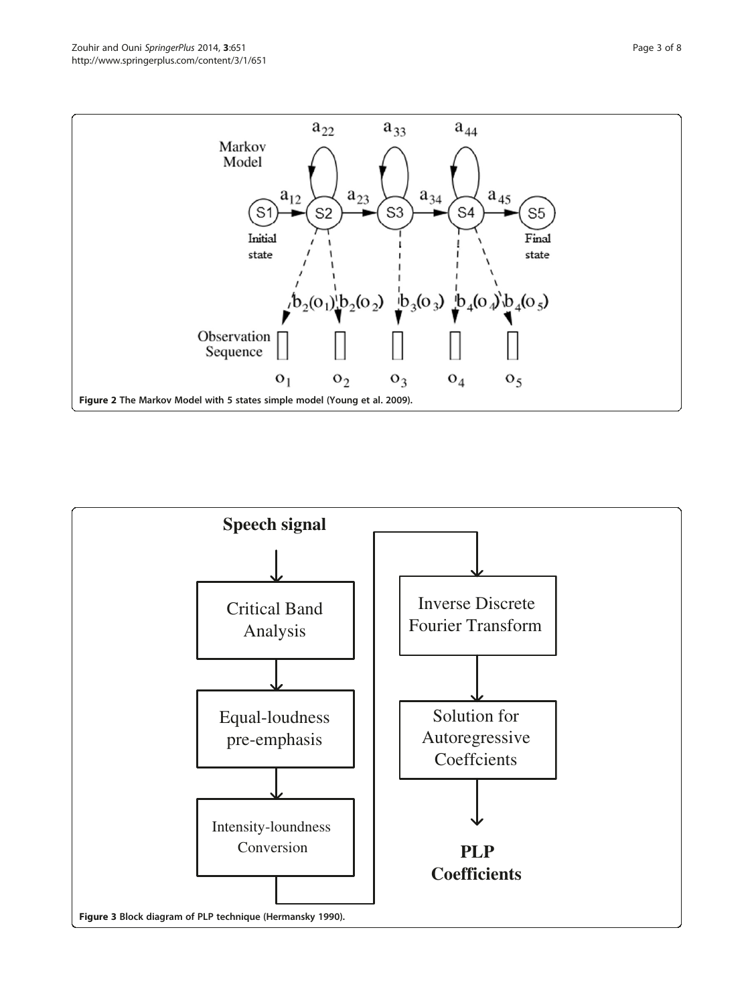<span id="page-2-0"></span>

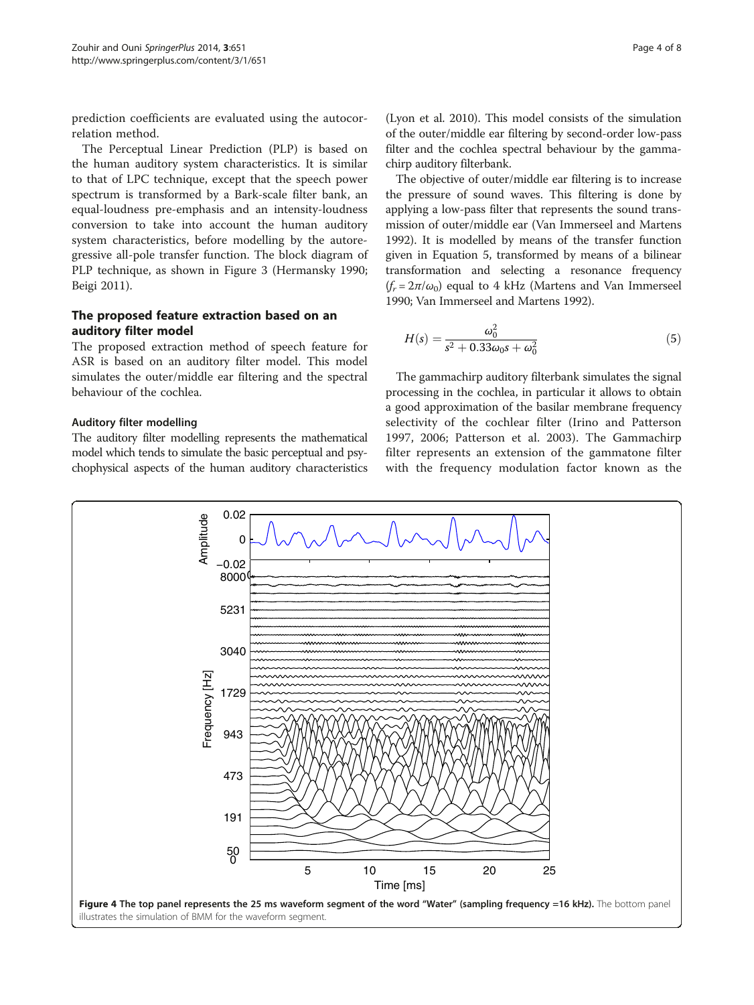<span id="page-3-0"></span>prediction coefficients are evaluated using the autocorrelation method.

The Perceptual Linear Prediction (PLP) is based on the human auditory system characteristics. It is similar to that of LPC technique, except that the speech power spectrum is transformed by a Bark-scale filter bank, an equal-loudness pre-emphasis and an intensity-loudness conversion to take into account the human auditory system characteristics, before modelling by the autoregressive all-pole transfer function. The block diagram of PLP technique, as shown in Figure [3](#page-2-0) (Hermansky [1990](#page-7-0); Beigi [2011](#page-7-0)).

# The proposed feature extraction based on an auditory filter model

The proposed extraction method of speech feature for ASR is based on an auditory filter model. This model simulates the outer/middle ear filtering and the spectral behaviour of the cochlea.

# Auditory filter modelling

The auditory filter modelling represents the mathematical model which tends to simulate the basic perceptual and psychophysical aspects of the human auditory characteristics

(Lyon et al. [2010](#page-7-0)). This model consists of the simulation of the outer/middle ear filtering by second-order low-pass filter and the cochlea spectral behaviour by the gammachirp auditory filterbank.

The objective of outer/middle ear filtering is to increase the pressure of sound waves. This filtering is done by applying a low-pass filter that represents the sound transmission of outer/middle ear (Van Immerseel and Martens [1992\)](#page-7-0). It is modelled by means of the transfer function given in Equation 5, transformed by means of a bilinear transformation and selecting a resonance frequency  $(f_r = 2\pi/\omega_0)$  equal to 4 kHz (Martens and Van Immerseel [1990](#page-7-0); Van Immerseel and Martens [1992](#page-7-0)).

$$
H(s) = \frac{\omega_0^2}{s^2 + 0.33\omega_0 s + \omega_0^2}
$$
 (5)

The gammachirp auditory filterbank simulates the signal processing in the cochlea, in particular it allows to obtain a good approximation of the basilar membrane frequency selectivity of the cochlear filter (Irino and Patterson [1997, 2006](#page-7-0); Patterson et al. [2003\)](#page-7-0). The Gammachirp filter represents an extension of the gammatone filter with the frequency modulation factor known as the

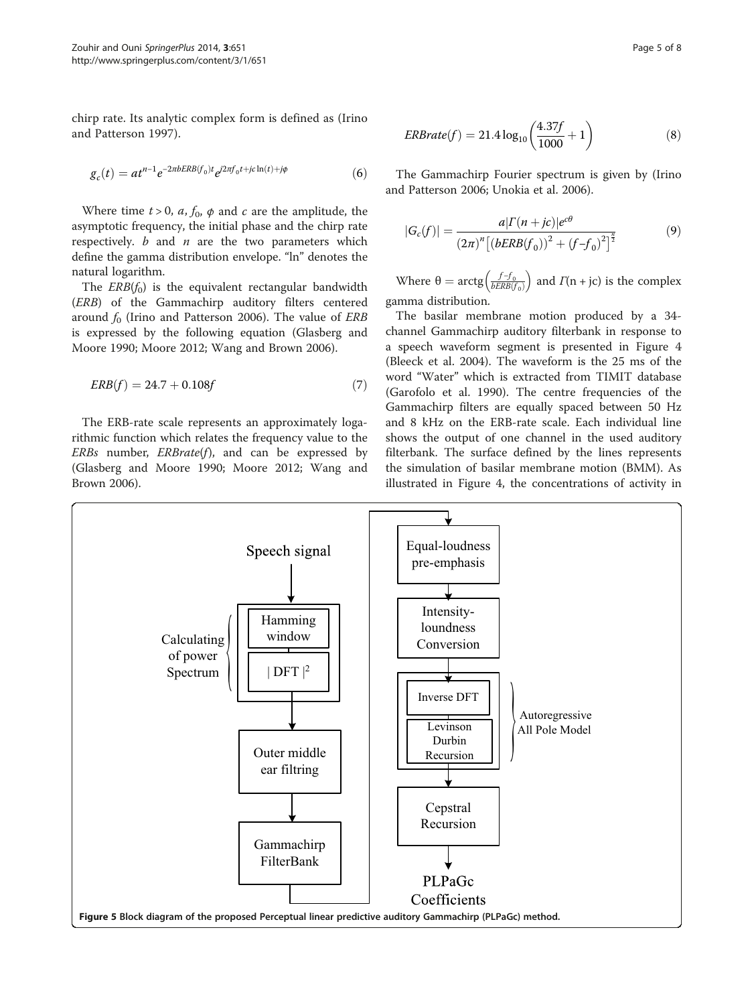<span id="page-4-0"></span>chirp rate. Its analytic complex form is defined as (Irino and Patterson [1997](#page-7-0)).

$$
g_c(t) = at^{n-1}e^{-2\pi bERB(f_0)t}e^{i2\pi f_0t + jc\ln(t) + j\phi}
$$
 (6)

Where time  $t > 0$ ,  $a$ ,  $f_0$ ,  $\phi$  and  $c$  are the amplitude, the asymptotic frequency, the initial phase and the chirp rate respectively.  $b$  and  $n$  are the two parameters which define the gamma distribution envelope. "ln" denotes the natural logarithm.

The  $ERB(f_0)$  is the equivalent rectangular bandwidth (ERB) of the Gammachirp auditory filters centered around  $f_0$  (Irino and Patterson [2006](#page-7-0)). The value of *ERB* is expressed by the following equation (Glasberg and Moore [1990;](#page-7-0) Moore [2012;](#page-7-0) Wang and Brown [2006\)](#page-7-0).

$$
ERB(f) = 24.7 + 0.108f\tag{7}
$$

The ERB-rate scale represents an approximately logarithmic function which relates the frequency value to the  $ERBs$  number,  $ERBrate(f)$ , and can be expressed by (Glasberg and Moore [1990;](#page-7-0) Moore [2012;](#page-7-0) Wang and Brown [2006](#page-7-0)).

$$
ERBrate(f) = 21.4 \log_{10} \left( \frac{4.37f}{1000} + 1 \right)
$$
 (8)

The Gammachirp Fourier spectrum is given by (Irino and Patterson [2006;](#page-7-0) Unokia et al. [2006\)](#page-7-0).

$$
|G_c(f)| = \frac{a|\Gamma(n + jc)|e^{c\theta}}{(2\pi)^n\left[(bERB(f_0))^2 + (f - f_0)^2\right]^{\frac{n}{2}}}
$$
(9)

Where  $\theta = \arctg\left(\frac{f - f_0}{bERB(f_0)}\right)$  and  $\Gamma(n + jc)$  is the complex gamma distribution.

The basilar membrane motion produced by a 34 channel Gammachirp auditory filterbank in response to a speech waveform segment is presented in Figure [4](#page-3-0) (Bleeck et al. [2004\)](#page-7-0). The waveform is the 25 ms of the word "Water" which is extracted from TIMIT database (Garofolo et al. [1990\)](#page-7-0). The centre frequencies of the Gammachirp filters are equally spaced between 50 Hz and 8 kHz on the ERB-rate scale. Each individual line shows the output of one channel in the used auditory filterbank. The surface defined by the lines represents the simulation of basilar membrane motion (BMM). As illustrated in Figure [4,](#page-3-0) the concentrations of activity in

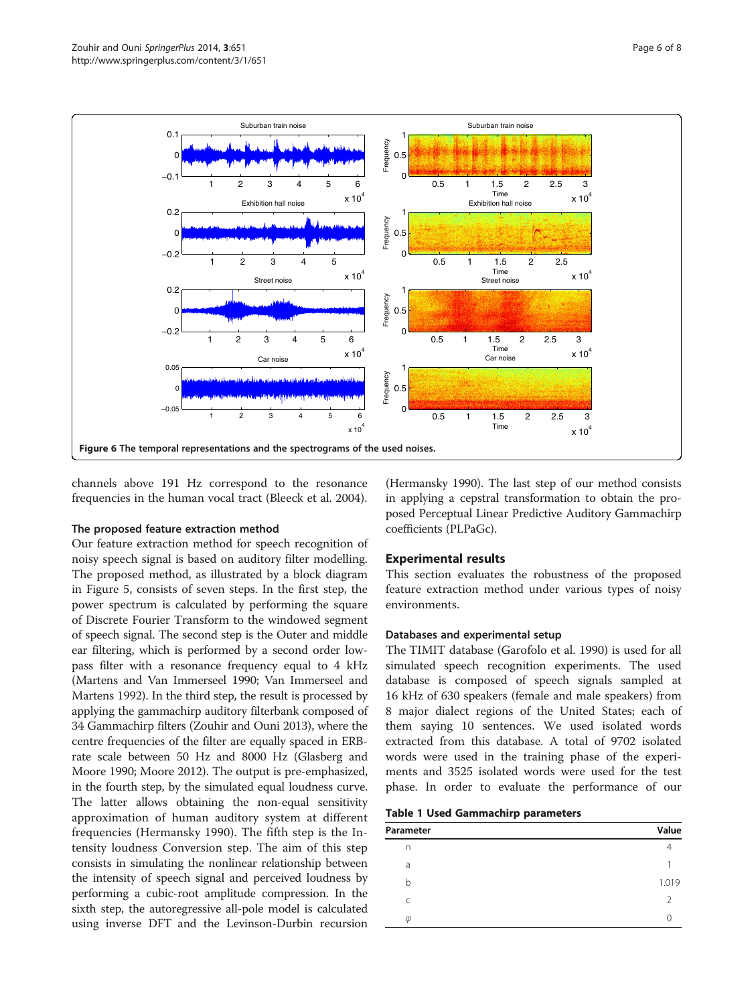<span id="page-5-0"></span>

channels above 191 Hz correspond to the resonance frequencies in the human vocal tract (Bleeck et al. [2004\)](#page-7-0).

## The proposed feature extraction method

Our feature extraction method for speech recognition of noisy speech signal is based on auditory filter modelling. The proposed method, as illustrated by a block diagram in Figure [5](#page-4-0), consists of seven steps. In the first step, the power spectrum is calculated by performing the square of Discrete Fourier Transform to the windowed segment of speech signal. The second step is the Outer and middle ear filtering, which is performed by a second order lowpass filter with a resonance frequency equal to 4 kHz (Martens and Van Immerseel [1990;](#page-7-0) Van Immerseel and Martens [1992](#page-7-0)). In the third step, the result is processed by applying the gammachirp auditory filterbank composed of 34 Gammachirp filters (Zouhir and Ouni [2013](#page-7-0)), where the centre frequencies of the filter are equally spaced in ERBrate scale between 50 Hz and 8000 Hz (Glasberg and Moore [1990;](#page-7-0) Moore [2012\)](#page-7-0). The output is pre-emphasized, in the fourth step, by the simulated equal loudness curve. The latter allows obtaining the non-equal sensitivity approximation of human auditory system at different frequencies (Hermansky [1990\)](#page-7-0). The fifth step is the Intensity loudness Conversion step. The aim of this step consists in simulating the nonlinear relationship between the intensity of speech signal and perceived loudness by performing a cubic-root amplitude compression. In the sixth step, the autoregressive all-pole model is calculated using inverse DFT and the Levinson-Durbin recursion

(Hermansky [1990\)](#page-7-0). The last step of our method consists in applying a cepstral transformation to obtain the proposed Perceptual Linear Predictive Auditory Gammachirp coefficients (PLPaGc).

# Experimental results

This section evaluates the robustness of the proposed feature extraction method under various types of noisy environments.

## Databases and experimental setup

The TIMIT database (Garofolo et al. [1990](#page-7-0)) is used for all simulated speech recognition experiments. The used database is composed of speech signals sampled at 16 kHz of 630 speakers (female and male speakers) from 8 major dialect regions of the United States; each of them saying 10 sentences. We used isolated words extracted from this database. A total of 9702 isolated words were used in the training phase of the experiments and 3525 isolated words were used for the test phase. In order to evaluate the performance of our

|  |  | Table 1 Used Gammachirp parameters |  |
|--|--|------------------------------------|--|
|--|--|------------------------------------|--|

| Parameter | Value |
|-----------|-------|
| n         |       |
| a         |       |
| b         | 1.019 |
| C         |       |
| $\varphi$ |       |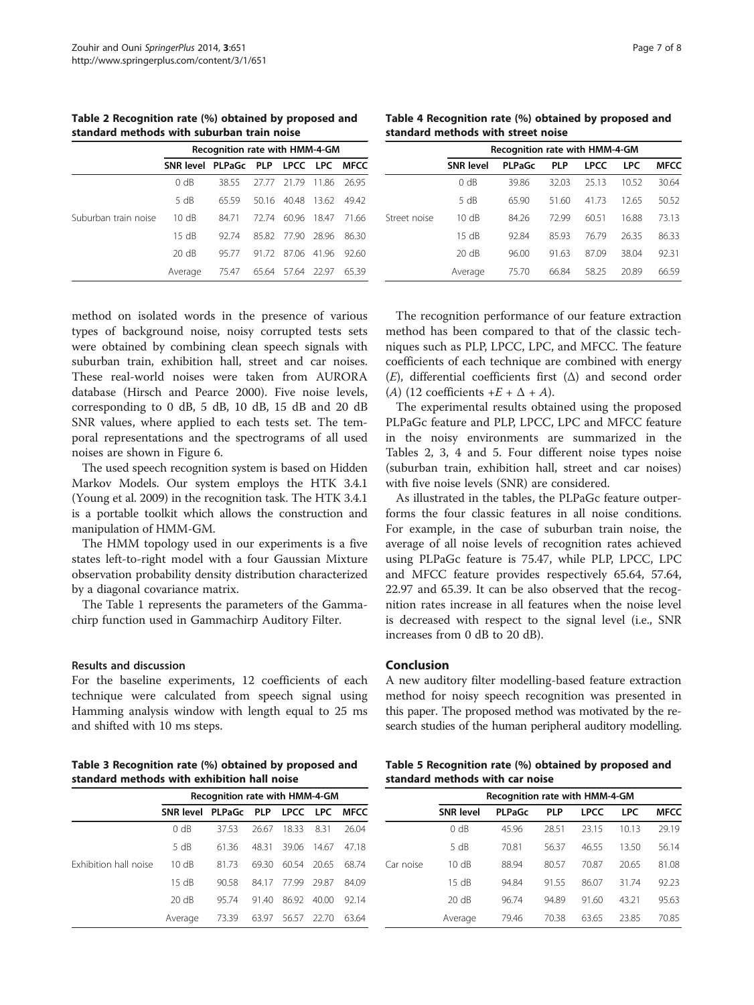Table 2 Recognition rate (%) obtained by proposed and standard methods with suburban train noise

|                      | Recognition rate with HMM-4-GM     |       |       |             |         |       |  |
|----------------------|------------------------------------|-------|-------|-------------|---------|-------|--|
|                      | SNR level PLPaGc PLP LPCC LPC MFCC |       |       |             |         |       |  |
|                      | 0 dB                               | 3855  | 27.77 | 21.79       | 1186    | 26.95 |  |
|                      | 5 dB                               | 6559  |       | 50.16 40.48 | 1362    | 4942  |  |
| Suburban train noise | 10 dB                              | 8471  | 72.74 | 60.96       | 1847    | 71.66 |  |
|                      | 15 dB                              | 9274  |       | 8582 7790   | - 28.96 | 86.30 |  |
|                      | 20 dB                              | 9577  | 9172  | 87.06       | 4196    | 92.60 |  |
|                      | Average                            | 75.47 | 65.64 | 57.64       | 22.97   | 6539  |  |

method on isolated words in the presence of various types of background noise, noisy corrupted tests sets were obtained by combining clean speech signals with suburban train, exhibition hall, street and car noises. These real-world noises were taken from AURORA database (Hirsch and Pearce [2000\)](#page-7-0). Five noise levels, corresponding to 0 dB, 5 dB, 10 dB, 15 dB and 20 dB SNR values, where applied to each tests set. The temporal representations and the spectrograms of all used noises are shown in Figure [6](#page-5-0).

The used speech recognition system is based on Hidden Markov Models. Our system employs the HTK 3.4.1 (Young et al. [2009\)](#page-7-0) in the recognition task. The HTK 3.4.1 is a portable toolkit which allows the construction and manipulation of HMM-GM.

The HMM topology used in our experiments is a five states left-to-right model with a four Gaussian Mixture observation probability density distribution characterized by a diagonal covariance matrix.

The Table [1](#page-5-0) represents the parameters of the Gammachirp function used in Gammachirp Auditory Filter.

#### Results and discussion

For the baseline experiments, 12 coefficients of each technique were calculated from speech signal using Hamming analysis window with length equal to 25 ms and shifted with 10 ms steps.

Table 4 Recognition rate (%) obtained by proposed and standard methods with street noise

|              | Recognition rate with HMM-4-GM |               |            |             |            |             |  |
|--------------|--------------------------------|---------------|------------|-------------|------------|-------------|--|
|              | <b>SNR level</b>               | <b>PLPaGc</b> | <b>PLP</b> | <b>LPCC</b> | <b>LPC</b> | <b>MFCC</b> |  |
|              | 0 dB                           | 39.86         | 32.03      | 25.13       | 10.52      | 30.64       |  |
|              | 5 dB                           | 65.90         | 51.60      | 41.73       | 12.65      | 50.52       |  |
| Street noise | 10 dB                          | 84.26         | 7299       | 60.51       | 16.88      | 73.13       |  |
|              | 15 dB                          | 92.84         | 85.93      | 76.79       | 26.35      | 86.33       |  |
|              | 20 dB                          | 96.00         | 91.63      | 8709        | 38.04      | 92.31       |  |
|              | Average                        | 75.70         | 66.84      | 58.25       | 20.89      | 66.59       |  |

The recognition performance of our feature extraction method has been compared to that of the classic techniques such as PLP, LPCC, LPC, and MFCC. The feature coefficients of each technique are combined with energy (E), differential coefficients first  $(\Delta)$  and second order (A) (12 coefficients  $+E + \Delta + A$ ).

The experimental results obtained using the proposed PLPaGc feature and PLP, LPCC, LPC and MFCC feature in the noisy environments are summarized in the Tables 2, 3, 4 and 5. Four different noise types noise (suburban train, exhibition hall, street and car noises) with five noise levels (SNR) are considered.

As illustrated in the tables, the PLPaGc feature outperforms the four classic features in all noise conditions. For example, in the case of suburban train noise, the average of all noise levels of recognition rates achieved using PLPaGc feature is 75.47, while PLP, LPCC, LPC and MFCC feature provides respectively 65.64, 57.64, 22.97 and 65.39. It can be also observed that the recognition rates increase in all features when the noise level is decreased with respect to the signal level (i.e., SNR increases from 0 dB to 20 dB).

## Conclusion

A new auditory filter modelling-based feature extraction method for noisy speech recognition was presented in this paper. The proposed method was motivated by the research studies of the human peripheral auditory modelling.

Table 3 Recognition rate (%) obtained by proposed and standard methods with exhibition hall noise

|                       | Recognition rate with HMM-4-GM |       |       |       |       |               |  |
|-----------------------|--------------------------------|-------|-------|-------|-------|---------------|--|
|                       | SNR level PLPaGc PLP           |       |       |       |       | LPCC LPC MFCC |  |
|                       | 0 dB                           | 3753  | 26.67 | 18.33 | 8.31  | 26.04         |  |
|                       | 5 dB                           | 61.36 | 48.31 | 39.06 | 14.67 | 47.18         |  |
| Exhibition hall noise | 10dB                           | 8173  | 6930  | 60.54 | 20.65 | 6874          |  |
|                       | 15 dB                          | 90.58 | 8417  | 77.99 | 2987  | 84.09         |  |
|                       | 20 dB                          | 95.74 | 9140  | 86.92 | 40.00 | 92.14         |  |
|                       | Average                        | 73.39 | 63.97 | 56.57 | 22.70 | 63.64         |  |

Table 5 Recognition rate (%) obtained by proposed and standard methods with car noise

|           | Recognition rate with HMM-4-GM |               |            |             |            |             |  |  |
|-----------|--------------------------------|---------------|------------|-------------|------------|-------------|--|--|
|           | <b>SNR level</b>               | <b>PLPaGc</b> | <b>PLP</b> | <b>LPCC</b> | <b>LPC</b> | <b>MFCC</b> |  |  |
|           | 0 dB                           | 45.96         | 28.51      | 23.15       | 10.13      | 29.19       |  |  |
|           | 5 dB                           | 70.81         | 56.37      | 46.55       | 13.50      | 56.14       |  |  |
| Car noise | 10 dB                          | 88.94         | 80.57      | 70.87       | 20.65      | 81.08       |  |  |
|           | 15 dB                          | 94.84         | 91.55      | 86.07       | 31.74      | 92.23       |  |  |
|           | 20 dB                          | 96.74         | 94.89      | 91.60       | 43.21      | 95.63       |  |  |
|           | Average                        | 79.46         | 70.38      | 63.65       | 23.85      | 70.85       |  |  |